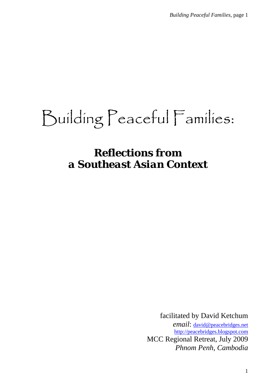# Building Peaceful Families:

# *Reflections from a Southeast Asian Context*

facilitated by David Ketchum *email*: david@peacebridges.net http://peacebridges.blogspot.com MCC Regional Retreat, July 2009 *Phnom Penh, Cambodia*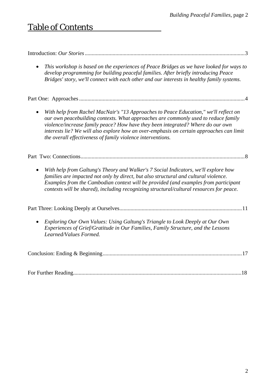## Table of Contents

|--|--|--|

• *This workshop is based on the experiences of Peace Bridges as we have looked for ways to develop programming for building peaceful families. After briefly introducing Peace Bridges' story, we'll connect with each other and our interests in healthy family systems.* 

Part One: Approaches .......................................................................................................................4

• *With help from Rachel MacNair's "13 Approaches to Peace Education," we'll reflect on our own peacebuilding contexts. What approaches are commonly used to reduce family violence/increase family peace? How have they been integrated? Where do our own interests lie? We will also explore how an over-emphasis on certain approaches can limit the overall effectiveness of family violence interventions.* 

Part Two: Connections......................................................................................................................8

• *With help from Galtung's Theory and Walker's 7 Social Indicators, we'll explore how families are impacted not only by direct, but also structural and cultural violence. Examples from the Cambodian context will be provided (and examples from participant contexts will be shared), including recognizing structural/cultural resources for peace.* 

Part Three: Looking Deeply at Ourselves........................................................................................11

• *Exploring Our Own Values: Using Galtung's Triangle to Look Deeply at Our Own Experiences of Grief/Gratitude in Our Families, Family Structure, and the Lessons Learned/Values Formed.* 

|--|--|

For Further Reading.........................................................................................................................18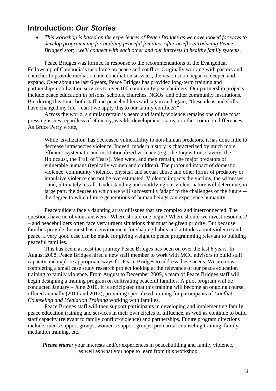## **Introduction:** *Our Stories*

• *This workshop is based on the experiences of Peace Bridges as we have looked for ways to develop programming for building peaceful families. After briefly introducing Peace Bridges' story, we'll connect with each other and our interests in healthy family systems.* 

 Peace Bridges was formed in response to the recommendations of the Evangelical Fellowship of Cambodia's task force on peace and conflict. Originally working with pastors and churches to provide mediation and conciliation services, the vision soon began to deepen and expand. Over about the last 6 years, Peace Bridges has provided long-term training and partnership/mobilization services to over 100 community peacebuilders. Our partnership projects include peace education in prisons, schools, churches, NGOs, and other community institutions. But during this time, both staff and peacebuilders said, again and again, "these ideas and skills have changed my life – can't we apply this to our family conflicts?"

 Across the world, a similar refrain is heard and family violence remains one of the most pressing issues regardless of ethnicity, wealth, development status, or other common differences. As Bruce Perry wrote,

While 'civilization' has decreased vulnerability to non-human predators, it has done little to decrease intraspecies violence. Indeed, modern history is characterized by much more efficient, systematic and institutionalized violence (e.g., the Inquisition, slavery, the Holocaust, the Trail of Tears). Men were, and men remain, the major predators of vulnerable humans (typically women and children). The profound impact of domestic violence, community violence, physical and sexual abuse and other forms of predatory or impulsive violence can not be overestimated. Violence impacts the victims, the witnesses - - and, ultimately, us all. Understanding and modifying our violent nature will determine, in large part, the degree to which we will successfully 'adapt' to the challenges of the future - the degree to which future generations of human beings can experience humanity.

 Peacebuilders face a daunting array of issues that are complex and interconnected. The questions have no obvious answers - Where should one begin? Where should we invest resources? – and peacebuilders often face very urgent situations that must be given priority. But because families provide the most basic environment for shaping habits and attitudes about violence and peace, a very good case can be made for giving weight to peace programming relevant to building peaceful families.

 This has been, at least the journey Peace Bridges has been on over the last 6 years. In August 2008, Peace Bridges hired a new staff member to work with MCC advisors to build staff capacity and explore appropriate ways for Peace Bridges to address these needs. We are now completing a small case study research project looking at the relevance of our peace education training to family violence. From August to December 2009, a team of Peace Bridges staff will begin designing a training program on cultivating peaceful families. A pilot program will be conducted January – June 2010. It is anticipated that this training will become an ongoing course, offered annually (2011 and 2012), providing specialized training for participants of *Conflict Counseling and Mediation Training* working with families.

 Peace Bridges staff will then support participants in developing and implementing family peace education training and services in their own circles of influence, as well as continue to build staff capacity (relevant to family conflict/violence) and partnerships. Future program directions include: men's support groups, women's support groups, premarital counseling training, family mediation training, etc.

*Please share:* your interests and/or experiences in peacebuilding and family violence, as well as what you hope to learn from this workshop.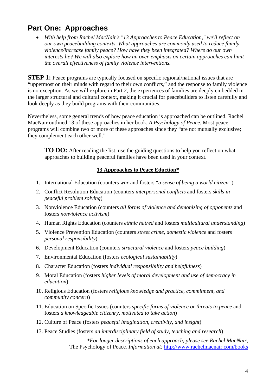## **Part One: Approaches**

• *With help from Rachel MacNair's "13 Approaches to Peace Education," we'll reflect on our own peacebuilding contexts. What approaches are commonly used to reduce family violence/increase family peace? How have they been integrated? Where do our own interests lie? We will also explore how an over-emphasis on certain approaches can limit the overall effectiveness of family violence interventions.* 

**STEP 1:** Peace programs are typically focused on specific regional/national issues that are "uppermost on their minds with regard to their own conflicts," and the response to family violence is no exception. As we will explore in Part 2, the experiences of families are deeply embedded in the larger structural and cultural context, making it crucial for peacebuilders to listen carefully and look deeply as they build programs with their communities.

Nevertheless, some general trends of how peace education is approached can be outlined. Rachel MacNair outlined 13 of these approaches in her book, *A Psychology of Peace.* Most peace programs will combine two or more of these approaches since they "are not mutually exclusive; they complement each other well."

**TO DO:** After reading the list, use the guiding questions to help you reflect on what approaches to building peaceful families have been used in your context.

#### **13 Approaches to Peace Eduction\***

- 1. International Education (counters *war* and fosters "*a sense of being a world citizen"*)
- 2. Conflict Resolution Education (counters *interpersonal conflicts* and fosters *skills in peaceful problem solving*)
- 3. Nonviolence Education (counters *all forms of violence and demonizing of opponents* and fosters *nonviolence activism*)
- 4. Human Rights Education (counters *ethnic hatred* and fosters *multicultural understanding*)
- 5. Violence Prevention Education (counters *street crime, domestic violence* and fosters *personal responsibility*)
- 6. Development Education (counters *structural violence* and fosters *peace building*)
- 7. Environmental Education (fosters *ecological sustainability*)
- 8. Character Education (fosters *individual responsibility and helpfulness*)
- 9. Moral Education (fosters *higher levels of moral development and use of democracy in education*)
- 10. Religious Education (fosters *religious knowledge and practice, commitment, and community concern*)
- 11. Education on Specific Issues (counters *specific forms of violence or threats to peace* and fosters *a knowledgeable citizenry, motivated to take action*)
- 12. Culture of Peace (fosters *peaceful imagination, creativity, and insight*)
- 13. Peace Studies (fosters *an interdisciplinary field of study, teaching and research*)

*\*For longer descriptions of each approach, please see Rachel MacNair,*  The Psychology of Peace*. Information at:* http://www.rachelmacnair.com/books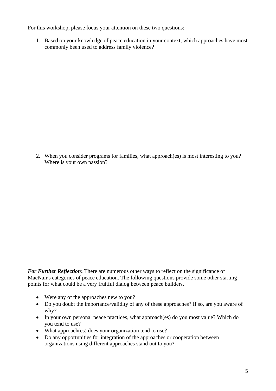For this workshop, please focus your attention on these two questions:

1. Based on your knowledge of peace education in your context, which approaches have most commonly been used to address family violence?

2. When you consider programs for families, what approach(es) is most interesting to you? Where is your own passion?

*For Further Reflection***:** There are numerous other ways to reflect on the significance of MacNair's categories of peace education. The following questions provide some other starting points for what could be a very fruitful dialog between peace builders.

- Were any of the approaches new to you?
- Do you doubt the importance/validity of any of these approaches? If so, are you aware of why?
- In your own personal peace practices, what approach(es) do you most value? Which do you tend to use?
- What approach(es) does your organization tend to use?
- Do any opportunities for integration of the approaches or cooperation between organizations using different approaches stand out to you?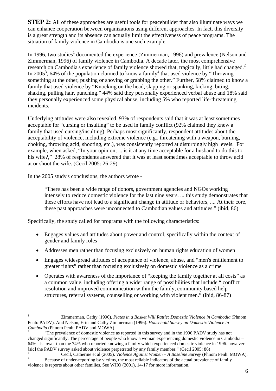**STEP 2:** All of these approaches are useful tools for peacebuilder that also illuminate ways we can enhance cooperation between organizations using different approaches. In fact, this diversity is a great strength and its absence can actually limit the effectiveness of peace programs. The situation of family violence in Cambodia is one such example.

In 1996, two studies<sup>1</sup> documented the experience (Zimmerman, 1996) and prevalence (Nelson and Zimmerman, 1996) of family violence in Cambodia. A decade later, the most comprehensive research on Cambodia's experience of family violence showed that, tragically, little had changed.<sup>2</sup> In 2005<sup>3</sup>, 64% of the population claimed to know a family<sup>4</sup> that used violence by "Throwing something at the other, pushing or shoving or grabbing the other." Further, 58% claimed to know a family that used violence by "Knocking on the head, slapping or spanking, kicking, biting, shaking, pulling hair, punching." 44% said they personally experienced verbal abuse and 18% said they personally experienced some physical abuse, including 5% who reported life-threatening incidents.

Underlying attitudes were also revealed. 93% of respondents said that it was at least sometimes acceptable for "cursing or insulting" to be used in family conflict (92% claimed they knew a family that used cursing/insulting). Perhaps most significantly, respondent attitudes about the acceptability of violence, including extreme violence (e.g., threatening with a weapon, burning, choking, throwing acid, shooting, etc.), was consistently reported at disturbingly high levels. For example, when asked, "In your opinion, ... is it at any time acceptable for a husband to do this to his wife?," 28% of respondents answered that it was at least sometimes acceptable to throw acid at or shoot the wife. (Cecil 2005: 26-29)

In the 2005 study's conclusions, the authors wrote -

"There has been a wide range of donors, government agencies and NGOs working intensely to reduce domestic violence for the last nine years. ... this study demonstrates that these efforts have not lead to a significant change in attitude or behaviors, .... At their core, these past approaches were unconnected to Cambodian values and attitudes." (ibid, 86)

Specifically, the study called for programs with the following characteristics:

- Engages values and attitudes about power and control, specifically within the context of gender and family roles
- Addresses men rather than focusing exclusively on human rights education of women
- Engages widespread attitudes of acceptance of violence, abuse, and "men's entitlement to greater rights" rather than focusing exclusively on domestic violence as a crime
- Operates with awareness of the importance of "keeping the family together at all costs" as a common value, including offering a wider range of possibilities that include " conflict resolution and improved communication within the family, community based help structures, referral systems, counselling or working with violent men." (ibid, 86-87)

<sup>1</sup> 1 Zimmerman, Cathy (1996). *Plates in a Basket Will Rattle: Domestic Violence in Cambodia* (Phnom Penh: PADV). And Nelson, Erin and Cathy Zimmerman (1996). *Household Survey on Domestic Violence in Cambodia* (Phnom Penh: PADV and MOWA).

 <sup>&</sup>quot;The prevalence of domestic violence as reported in this survey and in the 1996 PADV study has not changed significantly. The percentage of people who know a woman experiencing domestic violence in Cambodia – 64% - is lower than the 74% who reported knowing a family which experienced domestic violence in 1996. however [sic] the PADV survey asked about violence perpetrated by any family member." (Cecil 2005: 86) 3

<sup>&</sup>lt;sup>3</sup> Cecil, Catherine et al (2005). *Violence Against Women – A Baseline Survey* (Phnom Penh: MOWA). Because of under-reporting by victims, the most reliable indicators of the actual prevalence of family violence is reports about other families. See WHO (2001), 14-17 for more information.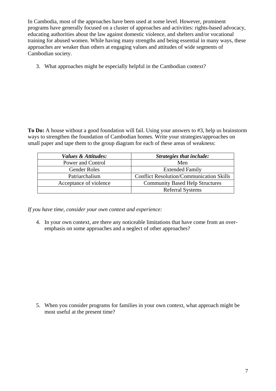In Cambodia, most of the approaches have been used at some level. However, prominent programs have generally focused on a cluster of approaches and activities: rights-based advocacy, educating authorities about the law against domestic violence, and shelters and/or vocational training for abused women. While having many strengths and being essential in many ways, these approaches are weaker than others at engaging values and attitudes of wide segments of Cambodian society.

3. What approaches might be especially helpful in the Cambodian context?

**To Do:** A house without a good foundation will fail. Using your answers to #3, help us brainstorm ways to strengthen the foundation of Cambodian homes. Write your strategies/approaches on small paper and tape them to the group diagram for each of these areas of weakness:

| Values & Attitudes:    | Strategies that include:                        |  |
|------------------------|-------------------------------------------------|--|
| Power and Control      | Men                                             |  |
| <b>Gender Roles</b>    | <b>Extended Family</b>                          |  |
| Patriarchalism         | <b>Conflict Resolution/Communication Skills</b> |  |
| Acceptance of violence | <b>Community Based Help Structures</b>          |  |
|                        | <b>Referral Systems</b>                         |  |

*If you have time, consider your own context and experience:* 

4. In your own context, are there any noticeable limitations that have come from an overemphasis on some approaches and a neglect of other approaches?

5. When you consider programs for families in your own context, what approach might be most useful at the present time?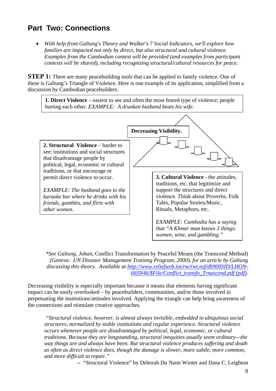## **Part Two: Connections**

• *With help from Galtung's Theory and Walker's 7 Social Indicators, we'll explore how families are impacted not only by direct, but also structural and cultural violence. Examples from the Cambodian context will be provided (and examples from participant contexts will be shared), including recognizing structural/cultural resources for peace.* 

**STEP 1:** There are many peacebuilding tools that can be applied to family violence. One of these is Galtung's Triangle of Violence. Here is one example of its application, simplified from a discussion by Cambodian peacebuilders.

**1. Direct Violence** – easiest to see and often the most feared type of violence; people hurting each other. *EXAMPLE: A drunken husband beats his wife.* 



*\*See Galtung, Johan,* Conflict Transformation by Peaceful Means (the Transcend Method) *(Geneva: UN Disaster Management Training Program, 2000), for an article by Galtung*  discussing this theory. Available at http://www.reliefweb.int/rw/rwt.nsf/db900SID/LHON-*66SN46/\$File/Conflict\_transfo\_Trnascend.pdf (pdf).* 

Decreasing visibility is especially important because it means that elements having significant impact can be easily overlooked – by peacebuilders, communities, and/or those involved in perpetuating the institutions/attitudes involved. Applying the triangle can help bring awareness of the connections and stimulate creative approaches.

 *"Structural violence, however, is almost always invisible, embedded in ubiquitous social structures, normalized by stable institutions and regular experience. Structural violence occurs whenever people are disadvantaged by political, legal, economic, or cultural traditions. Because they are longstanding, structural inequities usually seem ordinary—the way things are and always have been. But structural violence produces suffering and death as often as direct violence does, though the damage is slower, more subtle, more common, and more difficult to repair."* 

-- "Structural Violence" by Deborah Du Nann Winter and Dana C. Leighton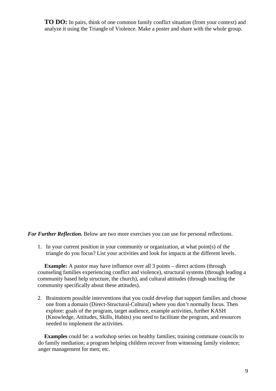**TO DO:** In pairs, think of one common family conflict situation (from your context) and analyze it using the Triangle of Violence. Make a poster and share with the whole group.

*For Further Reflection.* Below are two more exercises you can use for personal reflections.

1. In your current position in your community or organization, at what point(s) of the triangle do you focus? List your activities and look for impacts at the different levels.

**Example:** A pastor may have influence over all 3 points – direct actions (through counseling families experiencing conflict and violence), structural systems (through leading a community based help structure, the church), and cultural attitudes (through teaching the community specifically about these attitudes).

2. Brainstorm possible interventions that you could develop that support families and choose one from a domain (Direct-Structural-Cultural) where you don't normally focus. Then explore: goals of the program, target audience, example activities, further KASH (Knowledge, Attitudes, Skills, Habits) you need to facilitate the program, and resources needed to implement the activities.

**Examples** could be: a workshop series on healthy families; training commune councils to do family mediation; a program helping children recover from witnessing family violence; anger management for men; etc.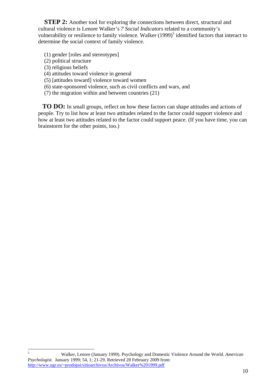**STEP 2:** Another tool for exploring the connections between direct, structural and cultural violence is Lenore Walker's *7 Social Indicators* related to a community's vulnerability or resilience to family violence. Walker (1999)<sup>5</sup> identified factors that interact to determine the social context of family violence.

- (1) gender [roles and stereotypes]
- (2) political structure
- (3) religious beliefs
- (4) attitudes toward violence in general
- (5) [attitudes toward] violence toward women
- (6) state-sponsored violence, such as civil conflicts and wars, and
- (7) the migration within and between countries (21)

**TO DO:** In small groups, reflect on how these factors can shape attitudes and actions of people. Try to list how at least two attitudes related to the factor could support violence and how at least two attitudes related to the factor could support peace. (If you have time, you can brainstorm for the other points, too.)

 $\frac{1}{5}$  Walker, Lenore (January 1999). Psychology and Domestic Violence Around the World. *American Psychologist.* January 1999; 54, 1; 21-29. Retrieved 28 February 2009 from: http://www.ugr.es/~prodopsi/sitioarchivos/Archivos/Walker%201999.pdf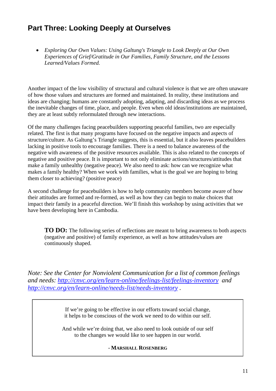## **Part Three: Looking Deeply at Ourselves**

• *Exploring Our Own Values: Using Galtung's Triangle to Look Deeply at Our Own Experiences of Grief/Gratitude in Our Families, Family Structure, and the Lessons Learned/Values Formed.* 

Another impact of the low visibility of structural and cultural violence is that we are often unaware of how those values and structures are formed and maintained. In reality, these institutions and ideas are changing; humans are constantly adopting, adapting, and discarding ideas as we process the inevitable changes of time, place, and people. Even when old ideas/institutions are maintained, they are at least subtly reformulated through new interactions.

Of the many challenges facing peacebuilders supporting peaceful families, two are especially related. The first is that many programs have focused on the negative impacts and aspects of structure/culture. As Galtung's Triangle suggests, this is essential, but it also leaves peacebuilders lacking in positive tools to encourage families. There is a need to balance awareness of the negative with awareness of the positive resources available. This is also related to the concepts of negative and positive peace. It is important to not only eliminate actions/structures/attitudes that make a family unhealthy (negative peace). We also need to ask: how can we recognize what makes a family healthy? When we work with families, what is the goal we are hoping to bring them closer to achieving? (positive peace)

A second challenge for peacebuilders is how to help community members become aware of how their attitudes are formed and re-formed, as well as how they can begin to make choices that impact their family in a peaceful direction. We'll finish this workshop by using activities that we have been developing here in Cambodia.

**TO DO:** The following series of reflections are meant to bring awareness to both aspects (negative and positive) of family experience, as well as how attitudes/values are continuously shaped.

*Note: See the Center for Nonviolent Communication for a list of common feelings and needs: http://cnvc.org/en/learn-online/feelings-list/feelings-inventory and http://cnvc.org/en/learn-online/needs-list/needs-inventory .* 

> If we're going to be effective in our efforts toward social change, it helps to be conscious of the work we need to do within our self.

And while we're doing that, we also need to look outside of our self to the changes we would like to see happen in our world.

#### - **MARSHALL ROSENBERG**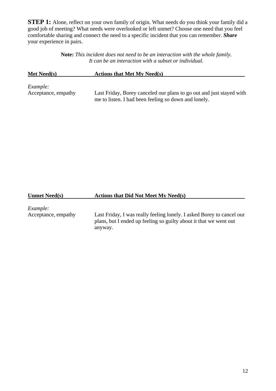**STEP 1:** Alone, reflect on your own family of origin. What needs do you think your family did a good job of meeting? What needs were overlooked or left unmet? Choose one need that you feel comfortable sharing and connect the need to a specific incident that you can remember. *Share* your experience in pairs.

> **Note:** *This incident does not need to be an interaction with the whole family. It can be an interaction with a subset or individual.*

| Met Need(s)         | <b>Actions that Met My Need(s)</b>                                   |  |  |  |
|---------------------|----------------------------------------------------------------------|--|--|--|
| <i>Example:</i>     | Last Friday, Borey canceled our plans to go out and just stayed with |  |  |  |
| Acceptance, empathy | me to listen. I had been feeling so down and lonely.                 |  |  |  |

#### **Unmet Need(s) Actions that Did Not Meet My Need(s)**

*Example:* 

Acceptance, empathy Last Friday, I was really feeling lonely. I asked Borey to cancel our plans, but I ended up feeling so guilty about it that we went out anyway.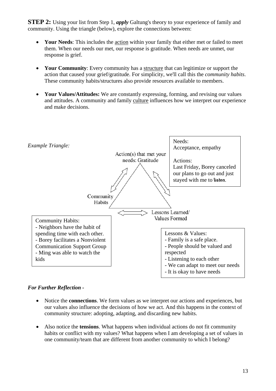**STEP 2:** Using your list from Step 1, *apply* Galtung's theory to your experience of family and community. Using the triangle (below), explore the connections between:

- **Your Needs**: This includes the action within your family that either met or failed to meet them. When our needs our met, our response is gratitude. When needs are unmet, our response is grief.
- **Your Community**: Every community has a structure that can legitimize or support the action that caused your grief/gratitude. For simplicity, we'll call this the *community habits*. These community habits/structures also provide resources available to members.
- **Your Values/Attitudes:** We are constantly expressing, forming, and revising our values and attitudes. A community and family culture influences how we interpret our experience and make decisions.



#### *For Further Reflection -*

- Notice the **connections**. We form values as we interpret our actions and experiences, but our values also influence the decisions of how we act. And this happens in the context of community structure: adopting, adapting, and discarding new habits.
- Also notice the **tensions**. What happens when individual actions do not fit community habits or conflict with my values? What happens when I am developing a set of values in one community/team that are different from another community to which I belong?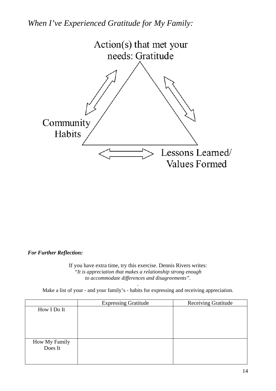*When I've Experienced Gratitude for My Family:* 



#### *For Further Reflection:*

If you have extra time, try this exercise. Dennis Rivers writes: *"It is appreciation that makes a relationship strong enough to accommodate differences and disagreements".* 

*.*  Make a list of your - and your family's - habits for expressing and receiving appreciation.

|               | <b>Expressing Gratitude</b> | <b>Receiving Gratitude</b> |
|---------------|-----------------------------|----------------------------|
| How I Do It   |                             |                            |
|               |                             |                            |
|               |                             |                            |
|               |                             |                            |
|               |                             |                            |
| How My Family |                             |                            |
| Does It       |                             |                            |
|               |                             |                            |
|               |                             |                            |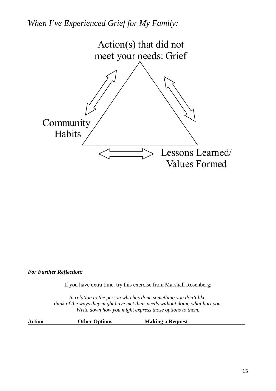*When I've Experienced Grief for My Family:* 



*For Further Reflection:* 

If you have extra time, try this exercise from Marshall Rosenberg:

*In relation to the person who has done something you don't like, think of the ways they might have met their needs without doing what hurt you. Write down how you might express those options to them.* 

**Action Other Options Making a Request**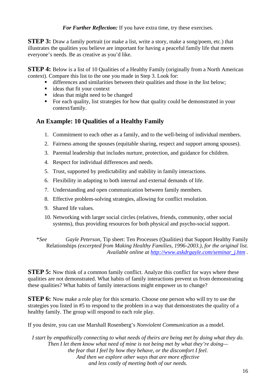*For Further Reflection:* If you have extra time, try these exercises.

**STEP 3:** Draw a family portrait (or make a list, write a story, make a song/poem, etc.) that illustrates the qualities you believe are important for having a peaceful family life that meets everyone's needs. Be as creative as you'd like.

**STEP 4:** Below is a list of 10 Qualities of a Healthy Family (originally from a North American context). Compare this list to the one you made in Step 3. Look for:

- differences and similarities between their qualities and those in the list below;
- ideas that fit your context
- ideas that might need to be changed
- For each quality, list strategies for how that quality could be demonstrated in your context/family.

### **An Example: 10 Qualities of a Healthy Family**

- 1. Commitment to each other as a family, and to the well-being of individual members.
- 2. Fairness among the spouses (equitable sharing, respect and support among spouses).
- 3. Parental leadership that includes nurture, protection, and guidance for children.
- 4. Respect for individual differences and needs.
- 5. Trust, supported by predictability and stability in family interactions.
- 6. Flexibility in adapting to both internal and external demands of life.
- 7. Understanding and open communication between family members.
- 8. Effective problem-solving strategies, allowing for conflict resolution.
- 9. Shared life values.
- 10. Networking with larger social circles (relatives, friends, community, other social systems), thus providing resources for both physical and psycho-social support.
- \**See Gayle Peterson,* Tip sheet: Ten Processes (Qualities) that Support Healthy Family Relationships *(excerpted from Making Healthy Families, 1996-2003.), for the original list. Available online at http://www.askdrgayle.com/seminar\_j.htm .*

**STEP 5:** Now think of a common family conflict. Analyze this conflict for ways where these qualities are not demonstrated. What habits of family interactions prevent us from demonstrating these qualities? What habits of family interactions might empower us to change?

**STEP 6:** Now make a role play for this scenario. Choose one person who will try to use the strategies you listed in #5 to respond to the problem in a way that demonstrates the quality of a healthy family. The group will respond to each role play.

If you desire, you can use Marshall Rosenberg's *Nonviolent Communication* as a model.

*I start by empathically connecting to what needs of theirs are being met by doing what they do. Then I let them know what need of mine is not being met by what they're doing the fear that I feel by how they behave, or the discomfort I feel. And then we explore other ways that are more effective and less costly of meeting both of our needs.*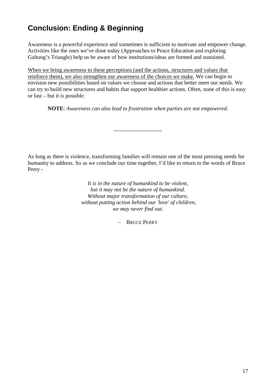## **Conclusion: Ending & Beginning**

Awareness is a powerful experience and sometimes is sufficient to motivate and empower change. Activities like the ones we've done today (Approaches to Peace Education and exploring Galtung's Triangle) help us be aware of how institutions/ideas are formed and sustained.

When we bring awareness to these perceptions (and the actions, structures and values that reinforce them), we also strengthen our awareness of the choices we make. We can begin to envision new possibilities based on values we choose and actions that better meet our needs. We can try to build new structures and habits that support healthier actions. Often, none of this is easy or fast – but it is possible.

**NOTE**: *Awareness can also lead to frustration when parties are not empowered.* 

~~~~~~~~~~~~~~~~

As long as there is violence, transforming families will remain one of the most pressing needs for humanity to address. So as we conclude our time together, I'd like to return to the words of Bruce Perry -

> *It is in the nature of humankind to be violent, but it may not be the nature of humankind. Without major transformation of our culture, without putting action behind our 'love' of children, we may never find out.*

> > − BRUCE PERRY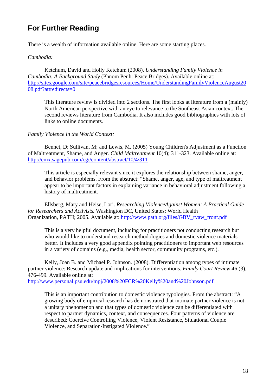## **For Further Reading**

There is a wealth of information available online. Here are some starting places.

#### *Cambodia:*

 Ketchum, David and Holly Ketchum (2008). *Understanding Family Violence in Cambodia: A Background Study* (Phnom Penh: Peace Bridges). Available online at: http://sites.google.com/site/peacebridgesresources/Home/UnderstandingFamilyViolenceAugust20 08.pdf?attredirects=0

This literature review is divided into 2 sections. The first looks at literature from a (mainly) North American perspective with an eye to relevance to the Southeast Asian context. The second reviews literature from Cambodia. It also includes good bibliographies with lots of links to online documents.

#### *Family Violence in the World Context:*

 Bennet, D; Sullivan, M; and Lewis, M. (2005) Young Children's Adjustment as a Function of Maltreatment, Shame, and Anger. *Child Maltreatment* 10(4); 311-323. Available online at: http://cmx.sagepub.com/cgi/content/abstract/10/4/311

This article is especially relevant since it explores the relationship between shame, anger, and behavior problems. From the abstract: "Shame, anger, age, and type of maltreatment appear to be important factors in explaining variance in behavioral adjustment following a history of maltreatment.

 Ellsberg, Mary and Heise, Lori. *Researching ViolenceAgainst Women: A Practical Guide for Researchers and Activists.* Washington DC, United States: World Health Organization, PATH; 2005. Available at: http://www.path.org/files/GBV\_rvaw\_front.pdf

This is a very helpful document, including for practitioners not conducting research but who would like to understand research methodologies and domestic violence materials better. It includes a very good appendix pointing practitioners to important web resources in a variety of domains (e.g., media, health sector, community programs, etc.).

 Kelly, Joan B. and Michael P. Johnson. (2008). Differentiation among types of intimate partner violence: Research update and implications for interventions. *Family Court Review* 46 (3), 476-499. Available online at:

http://www.personal.psu.edu/mpj/2008%20FCR%20Kelly%20and%20Johnson.pdf

This is an important contribution to domestic violence typologies. From the abstract: "A growing body of empirical research has demonstrated that intimate partner violence is not a unitary phenomenon and that types of domestic violence can be differentiated with respect to partner dynamics, context, and consequences. Four patterns of violence are described: Coercive Controlling Violence, Violent Resistance, Situational Couple Violence, and Separation-Instigated Violence."